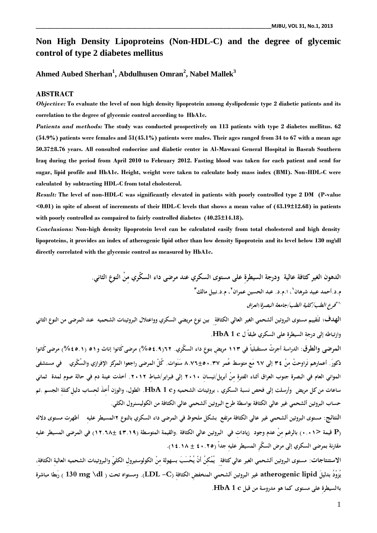# **Non High Density Lipoproteins (Non-HDL-C) and the degree of glycemic control of type 2 diabetes mellitus**

**Ahmed Aubed Sherhan<sup>1</sup> , Abdulhusen Omran<sup>2</sup> , Nabel Mallek<sup>3</sup>**

### **ABSTRACT**

*Objective:* **To evaluate the level of non high density lipoprotein among dyslipedemic type 2 diabetic patients and its correlation to the degree of glycemic control according to HbA1c.**

*Patients and methods:* **The study was conducted prospectively on 113 patients with type 2 diabetes mellitus. 62 (54.9%) patients were females and 51(45.1%) patients were males. Their ages ranged from 34 to 67 with a mean age 50.37±8.76 years. All consulted endocrine and diabetic center in Al-Mawani General Hospital in Basrah Southern Iraq during the period from April 2010 to February 2012. Fasting blood was taken for each patient and send for sugar, lipid profile and HbA1c. Height, weight were taken to calculate body mass index (BMI). Non-HDL-C were calculated by subtracting HDL-C from total cholesterol.**

*Result:* **The level of non-HDL-C was significantly elevated in patients with poorly controlled type 2 DM (P-value <0.01) in spite of absent of increments of their HDL-C levels that shows a mean value of (43.19±12.68) in patients with poorly controlled as compaired to fairly controlled diabetes (40.25±14.18).**

*Conclusions:* **Non-high density lipoprotein level can be calculated easily from total cholesterol and high density lipoproteins, it provides an index of atherogenic lipid other than low density lipoprotein and its level below 130 mg\dl directly correlated with the glycemic control as measured by HbA1c.**

> **الدهون الغير كثافة عالية ودرجة السيطرةِ على مستوى السكري عند مرضى داء السكّري مِنْ النوعِ الثاني. م.د.أحمد عبيد شرهان ٣ ، م.د.نبيل مالك <sup>٢</sup> ، ا.م.د. عبد الحسين عمران <sup>١</sup>** *فر ع الطب/كلية الطب/جامعة البصر ة/العر اق ٢١،*

الهدف؛ لتَقييم مستوى البروتين ألشحمي الغير العالي الكثافة <sub>ِ</sub> بين نوع مريضي السكري وواعتلال البروتينات الشحميه عند المرضى من النوع الثاني **وارتباطه إلى درجةِ السيطرةِ على السكري طبقاً ل c 1 HbA.**

**المرضى والطرق: الدراسة أجرتْ مستقبلياً في ١١٣ مريضِ بنوعِ داء السكّ ري. ٦٢(%٥٤.٩) مرضى كَانوا إناث و٥١ (%٤٥.١) مرضى كَانوا ذكورَ . أعمار هم تَراوحتْ مِنْ ٣٤ إلى ٦٧ مَع متوسط عُمر ٨.٧٦±٥٠.٣٧ سَنَوات. كُلّ المرضى راجعوا المركز الإفرازي والسُكّري في مستشفى المواني العام في البصرة جنوب العراق أثناء الفترةِ مِنْ أبريل/نيسانِ ٢٠١٠ إلى فبراير/شباطِ .٢٠١٢ أخذت عينة دم في حالة صوم لمدة ثماني ساعات من كل مريض وأرسلت إلى فحص نسبة السكري ، بروتينات الشحميه وc 1 HbA. الطول، والوزن أُخِ ذَ لحِ ساب دليلِ كتلةِ الجسم .تم حساب البروتين ألشحمي غير عالي الكثافة بواسطة طرح البروتين ألشحمي عالي الكثافة من الكوليسنرول الكلي.** 

**النتائج: مستوى البروتين ألشحمي غير عالي الكثافة مرتفع بشكل ملحوظ في المرضى داء السكري بالنوع ٢المسيطر عليهِ أظهرت مستوى دلاله (P قيمة <٠.٠١) بالرغم مِنْ عدم وجود زياداتِ في البروتين عالي الكثافة .والقيمة المتوسطة (٤٣.١٩ ١٢.٦٨±) في المرضى المسيطر عليهِ مقارنة بمرضى السكري إلى مرض السكّرِ المسيطر عليهِ جداً (٤٠.٢٥ ± ١٤.١٨).**

**الاستنتاجات: مستوى البروتين ألشحمي الغير عالي كثافة ِ ِ يُمْكِنُ أَنْ يُحْسَبَ بسهولة مِنْ الكولوستيرولِ الكليّ ِ والبروتينات الشحميه العاليةِ الكثافةِ ، يُزوّدُ بدليلَ lipid atherogenic غير البروتين ألشحمي المنخفضِ الكثافةِ (C- LDL(. ومستواه تحت ( dl \mg 130 ( رَبطا مباشرة باالسيطرةِ على مستوى كما هو مدروسة من قبل c 1 HbA.**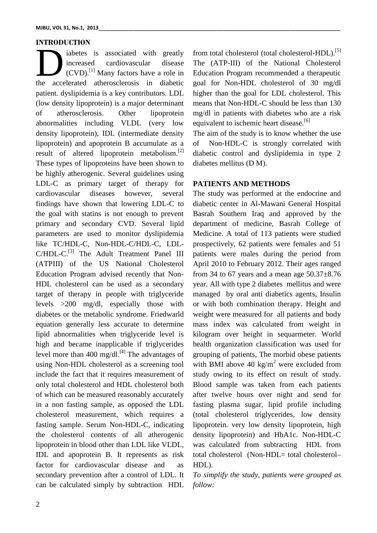#### **INTRODUCTION**

iabetes is associated with greatly increased cardiovascular disease  $(CVD)$ .<sup>[1]</sup> Many factors have a role in Educa iabetes is associated with greatly from<br>increased cardiovascular disease The<br>(CVD).<sup>[1]</sup> Many factors have a role in Educ<br>the accelerated atherosclerosis in diabetic goal patient. dyslipidemia is a key contributors. LDL (low density lipoprotein) is a major determinant of atherosclerosis. Other lipoprotein abnormalities including VLDL (very low density lipoprotein), IDL (intermediate density lipoprotein) and apoprotein B accumulate as a result of altered lipoprotein metabolism.<sup>[2]</sup> These types of lipoproteins have been shown to be highly atherogenic. Several guidelines using LDL-C as primary target of therapy for cardiovascular diseases however, several findings have shown that lowering LDL-C to the goal with statins is not enough to prevent primary and secondary CVD. Several lipid parameters are used to monitor dyslipidemia like TC/HDL-C, Non-HDL-C/HDL-C, LDL- C/HDL-C.<sup>[3]</sup> The Adult Treatment Panel III pat (ATPIII) of the US National Cholesterol Education Program advised recently that Non- HDL cholesterol can be used as a secondary target of therapy in people with triglyceride levels >200 mg/dl, especially those with diabetes or the metabolic syndrome. Friedwarld equation generally less accurate to determine lipid abnormalities when triglyceride level is high and became inapplicable if triglycerides level more than 400 mg/dl.<sup>[4]</sup> The advantages of gro using Non-HDL cholesterol as a screening tool include the fact that it requires measurement of only total cholesterol and HDL cholesterol both of which can be measured reasonably accurately in a non fasting sample, as opposed the LDL cholesterol measurement, which requires a fasting sample. Serum Non-HDL-C, indicating the cholesterol contents of all atherogenic lipoprotein in blood other than LDL like VLDL, IDL and apoprotein B. It represents as risk factor for cardiovascular disease and as secondary prevention after a control of LDL. It can be calculated simply by subtraction HDL

from total cholesterol (total cholesterol-HDL).<sup>[5]</sup> The (ATP-III) of the National Cholesterol Education Program recommended a therapeutic goal for Non-HDL cholesterol of 30 mg/dl higher than the goal for LDL cholesterol. This means that Non-HDL-C should be less than 130 mg/dl in patients with diabetes who are a risk equivalent to ischemic heart disease.<sup>[6]</sup>

The aim of the study is to know whether the use Non-HDL-C is strongly correlated with diabetic control and dyslipidemia in type 2 diabetes mellitus (D M).

### **PATIENTS AND METHODS**

The study was performed at the endocrine and diabetic center in Al-Mawani General Hospital Basrah Southern Iraq and approved by the department of medicine, Basrah College of Medicine. A total of 113 patients were studied prospectively, 62 patients were females and 51 patients were males during the period from April 2010 to February 2012. Their ages ranged from 34 to 67 years and a mean age  $50.37\pm8.76$ year. All with type 2 diabetes mellitus and were managed by oral anti diabetics agents, Insulin or with both combination therapy. Height and weight were measured for all patients and body mass index was calculated from weight in kilogram over height in sequarmeter. World health organization classification was used for grouping of patients, The morbid obese patients with BMI above 40 kg/m<sup>2</sup> were excluded from study owing to its effect on result of study. Blood sample was taken from each patients after twelve hours over night and send for fasting plasma sugar, lipid profile including (total cholesterol triglycerides, low density lipoprotein. very low density lipoprotein, high density lipoprotein) and HbA1c. Non-HDL-C was calculated from subtracting HDL from total cholesterol (Non-HDL= total cholesterol– HDL).

*To simplify the study, patients were grouped as follow:*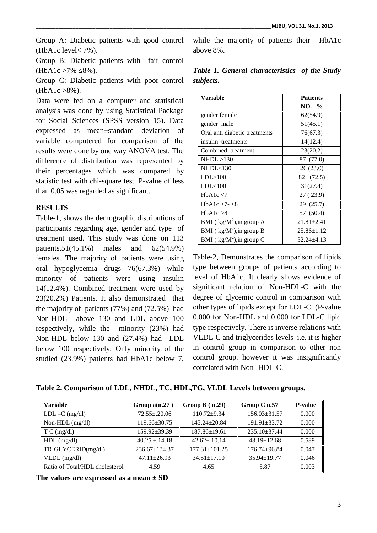Group A: Diabetic patients with good control (HbA1c level< 7%).

Group B: Diabetic patients with fair control  $(HbA1c > 7\%$  8%).

Group C: Diabetic patients with poor control  $(HbA1c > 8\%)$ .

Data were fed on a computer and statistical analysis was done by using Statistical Package for Social Sciences (SPSS version 15). Data expressed as mean±standard deviation of variable computered for comparison of the results were done by one way ANOVA test. The difference of distribution was represented by their percentages which was compared by statistic test with chi-square test. P-value of less than 0.05 was regarded as significant.

## **RESULTS**

Table-1, shows the demographic distributions of participants regarding age, gender and type of treatment used. This study was done on 113 patients,51(45.1%) males and 62(54.9%) females. The majority of patients were using oral hypoglycemia drugs 76(67.3%) while minority of patients were using insulin 14(12.4%). Combined treatment were used by 23(20.2%) Patients. It also demonstrated that the majority of patients (77%) and (72.5%) had Non-HDL above 130 and LDL above 100 respectively, while the minority (23%) had Non-HDL below 130 and (27.4%) had LDL below 100 respectively. Only minority of the studied (23.9%) patients had HbA1c below 7,

while the majority of patients their HbA1c above 8%.

*Table 1. General characteristics of the Study subjects.*

| Variable                      | <b>Patients</b>  |
|-------------------------------|------------------|
|                               | NO. %            |
| gender female                 | 62(54.9)         |
| gender male                   | 51(45.1)         |
| Oral anti diabetic treatments | 76(67.3)         |
| insulin treatments            | 14(12.4)         |
| Combined treatment            | 23(20.2)         |
| NHDL > 130                    | 87 (77.0)        |
| NHDL <sub>130</sub>           | 26(23.0)         |
| LDL > 100                     | 82 (72.5)        |
| LDL<100                       | 31(27.4)         |
| HbA1c < 7                     | 27 (23.9)        |
| HbA1c $>7-$ <8                | 29 (25.7)        |
| HbA1c > 8                     | 57 (50.4)        |
| BMI ( $kg/M^2$ ), in group A  | $21.81 \pm 2.41$ |
| BMI ( $kg/M^2$ ), in group B  | $25.86 \pm 1.12$ |
| BMI ( $kg/M^2$ ), in group C  | $32.24 + 4.13$   |

Table-2, Demonstrates the comparison of lipids type between groups of patients according to level of HbA1c, It clearly shows evidence of significant relation of Non-HDL-C with the degree of glycemic control in comparison with other types of lipids except for LDL-C. (P-value 0.000 for Non-HDL and 0.000 for LDL-C lipid type respectively. There is inverse relations with VLDL-C and triglycerides levels i.e. it is higher in control group in comparison to other non control group. however it was insignificantly correlated with Non- HDL-C.

**Table 2. Comparison of LDL, NHDL, TC, HDL,TG, VLDL Levels between groups.**

| <b>Variable</b>                | Group $a(n.27)$     | Group $B(n.29)$     | Group C n.57       | <b>P-value</b> |
|--------------------------------|---------------------|---------------------|--------------------|----------------|
| $LDL - C$ (mg/dl)              | $72.55 \pm 0.06$    | $110.72 + 9.34$     | $156.03 \pm 31.57$ | 0.000          |
| Non-HDL (mg/dl)                | 119.66±30.75        | $145.24 + 20.84$    | $191.91 + 33.72$   | 0.000          |
| T C (mg/dl)                    | $159.92 \pm 39.39$  | $187.86 \pm 19.61$  | $235.10 \pm 37.44$ | 0.000          |
| $HDL$ (mg/dl)                  | $40.25 \pm 14.18$   | $42.62 \pm 10.14$   | $43.19 \pm 12.68$  | 0.589          |
| TRIGLYCERID(mg/dl)             | $236.67 \pm 134.37$ | $177.31 \pm 101.25$ | $176.74 + 96.84$   | 0.047          |
| $VLDL$ (mg/dl)                 | $47.11 \pm 26.93$   | $34.51 \pm 17.10$   | $35.94 \pm 19.77$  | 0.046          |
| Ratio of Total/HDL cholesterol | 4.59                | 4.65                | 5.87               | 0.003          |

**The values are expressed as a mean ± SD**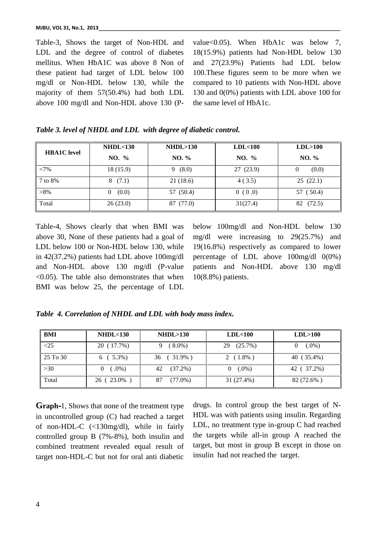Table-3, Shows the target of Non-HDL and LDL and the degree of control of diabetes mellitus. When HbA1C was above 8 Non of these patient had target of LDL below 100 mg/dl or Non-HDL below 130, while the majority of them 57(50.4%) had both LDL above 100 mg/dl and Non-HDL above 130 (P- value<0.05). When HbA1c was below 7, 18(15.9%) patients had Non-HDL below 130 and 27(23.9%) Patients had LDL below 100.These figures seem to be more when we compared to 10 patients with Non-HDL above 130 and 0(0%) patients with LDL above 100 for the same level of HbA1c.

|  |  | Table 3. level of NHDL and LDL with degree of diabetic control. |  |
|--|--|-----------------------------------------------------------------|--|
|  |  |                                                                 |  |

| <b>HBA1C</b> level | NHDL <sub>130</sub> | NHDL > 130 | LDL<100  | LDL>100      |
|--------------------|---------------------|------------|----------|--------------|
|                    | NO. %               | NO. %      | NO. %    | NO. %        |
| <7%                | 18 (15.9)           | (8.0)<br>9 | 27(23.9) | (0.0)<br>v   |
| 7 to 8%            | (7.1)<br>8          | 21(18.6)   | 4(3.5)   | 25(22.1)     |
| $>8\%$             | (0.0)<br>$\theta$   | 57 (50.4)  | 0(0.0)   | 57 (50.4)    |
| Total              | 26(23.0)            | 87 (77.0)  | 31(27.4) | 82<br>(72.5) |

Table-4, Shows clearly that when BMI was above 30, None of these patients had a goal of LDL below 100 or Non-HDL below 130, while in 42(37.2%) patients had LDL above 100mg/dl and Non-HDL above 130 mg/dl (P-value <0.05). The table also demonstrates that when BMI was below 25, the percentage of LDL

below 100mg/dl and Non-HDL below 130 mg/dl were increasing to 29(25.7%) and 19(16.8%) respectively as compared to lower percentage of LDL above 100mg/dl 0(0%) patients and Non-HDL above 130 mg/dl 10(8.8%) patients.

*Table 4. Correlation of NHDL and LDL with body mass index.*

| BMI      | NHDL <sub>130</sub>  | NHDL > 130       | LDL < 100        | LDL>100    |
|----------|----------------------|------------------|------------------|------------|
| <25      | 20 (17.7%)           | $(8.0\%)$        | $(25.7\%)$<br>29 | $(.0\%)$   |
| 25 To 30 | $6(5.3\%)$           | $36(31.9\%)$     | $2(1.8\%)$       | 40 (35.4%) |
| >30      | $(.0\%)$<br>$\theta$ | 42<br>$(37.2\%)$ | $(.0\%)$         | 42 (37.2%) |
| Total    | 26 (23.0%)           | 87<br>$(77.0\%)$ | 31 (27.4%)       | 82 (72.6%) |

**Graph-**1, Shows that none of the treatment type in uncontrolled group (C) had reached a target of non-HDL-C (<130mg/dl), while in fairly controlled group B (7%-8%), both insulin and combined treatment revealed equal result of target non-HDL-C but not for oral anti diabetic

drugs. In control group the best target of N- HDL was with patients using insulin. Regarding LDL, no treatment type in-group C had reached the targets while all-in group A reached the target, but most in group B except in those on insulin had not reached the target.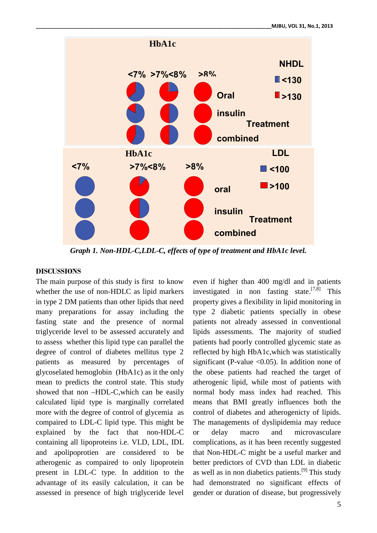

*Graph 1. Non-HDL-C,LDL-C, effects of type of treatment and HbA1c level.*

## **DISCUSSIONS**

The main purpose of this study is first to know whether the use of non-HDLC as lipid markers in type 2 DM patients than other lipids that need many preparations for assay including the fasting state and the presence of normal triglyceride level to be assessed accurately and to assess whether this lipid type can parallel the degree of control of diabetes mellitus type 2 patients as measured by percentages of glycoselated hemoglobin (HbA1c) as it the only mean to predicts the control state. This study showed that non –HDL-C,which can be easily calculated lipid type is marginally correlated more with the degree of control of glycemia as compaired to LDL-C lipid type. This might be explained by the fact that non-HDL-C or delay containing all lipoproteins i.e. VLD, LDL, IDL and apolipoprotien are considered to be atherogenic as compaired to only lipoprotein present in LDL-C type. In addition to the advantage of its easily calculation, it can be assessed in presence of high triglyceride level

even if higher than 400 mg/dl and in patients investigated in non fasting state.<sup>[7,8]</sup> This property gives a flexibility in lipid monitoring in type 2 diabetic patients specially in obese patients not already assessed in conventional lipids assessments. The majority of studied patients had poorly controlled glycemic state as reflected by high HbA1c,which was statistically significant (P-value  $\langle 0.05 \rangle$ ). In addition none of the obese patients had reached the target of atherogenic lipid, while most of patients with normal body mass index had reached. This means that BMI greatly influences both the control of diabetes and atherogenicty of lipids. The managements of dyslipidemia may reduce macro and microvasculare complications, as it has been recently suggested that Non-HDL-C might be a useful marker and better predictors of CVD than LDL in diabetic as well as in non diabetics patients.<sup>[9]</sup> This study had demonstrated no significant effects of gender or duration of disease, but progressively